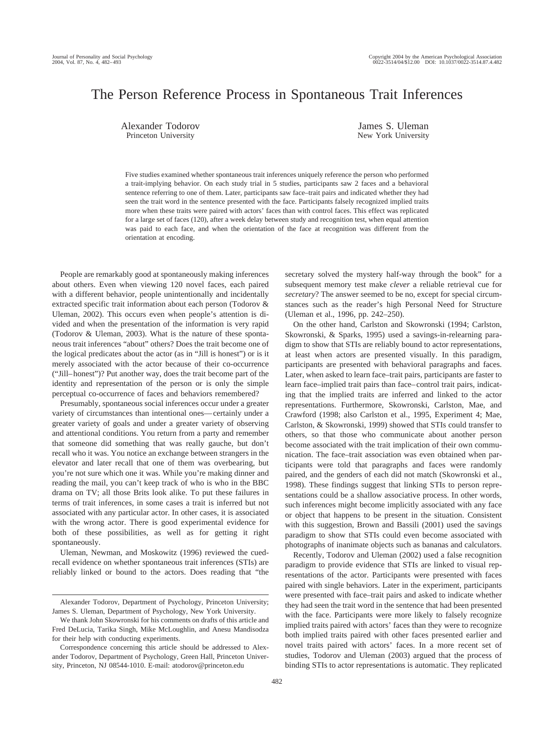# The Person Reference Process in Spontaneous Trait Inferences

Alexander Todorov Princeton University

James S. Uleman New York University

Five studies examined whether spontaneous trait inferences uniquely reference the person who performed a trait-implying behavior. On each study trial in 5 studies, participants saw 2 faces and a behavioral sentence referring to one of them. Later, participants saw face–trait pairs and indicated whether they had seen the trait word in the sentence presented with the face. Participants falsely recognized implied traits more when these traits were paired with actors' faces than with control faces. This effect was replicated for a large set of faces (120), after a week delay between study and recognition test, when equal attention was paid to each face, and when the orientation of the face at recognition was different from the orientation at encoding.

People are remarkably good at spontaneously making inferences about others. Even when viewing 120 novel faces, each paired with a different behavior, people unintentionally and incidentally extracted specific trait information about each person (Todorov & Uleman, 2002). This occurs even when people's attention is divided and when the presentation of the information is very rapid (Todorov & Uleman, 2003). What is the nature of these spontaneous trait inferences "about" others? Does the trait become one of the logical predicates about the actor (as in "Jill is honest") or is it merely associated with the actor because of their co-occurrence ("Jill–honest")? Put another way, does the trait become part of the identity and representation of the person or is only the simple perceptual co-occurrence of faces and behaviors remembered?

Presumably, spontaneous social inferences occur under a greater variety of circumstances than intentional ones—certainly under a greater variety of goals and under a greater variety of observing and attentional conditions. You return from a party and remember that someone did something that was really gauche, but don't recall who it was. You notice an exchange between strangers in the elevator and later recall that one of them was overbearing, but you're not sure which one it was. While you're making dinner and reading the mail, you can't keep track of who is who in the BBC drama on TV; all those Brits look alike. To put these failures in terms of trait inferences, in some cases a trait is inferred but not associated with any particular actor. In other cases, it is associated with the wrong actor. There is good experimental evidence for both of these possibilities, as well as for getting it right spontaneously.

Uleman, Newman, and Moskowitz (1996) reviewed the cuedrecall evidence on whether spontaneous trait inferences (STIs) are reliably linked or bound to the actors. Does reading that "the secretary solved the mystery half-way through the book" for a subsequent memory test make *clever* a reliable retrieval cue for *secretary*? The answer seemed to be no, except for special circumstances such as the reader's high Personal Need for Structure (Uleman et al., 1996, pp. 242–250).

On the other hand, Carlston and Skowronski (1994; Carlston, Skowronski, & Sparks, 1995) used a savings-in-relearning paradigm to show that STIs are reliably bound to actor representations, at least when actors are presented visually. In this paradigm, participants are presented with behavioral paragraphs and faces. Later, when asked to learn face–trait pairs, participants are faster to learn face–implied trait pairs than face–control trait pairs, indicating that the implied traits are inferred and linked to the actor representations. Furthermore, Skowronski, Carlston, Mae, and Crawford (1998; also Carlston et al., 1995, Experiment 4; Mae, Carlston, & Skowronski, 1999) showed that STIs could transfer to others, so that those who communicate about another person become associated with the trait implication of their own communication. The face–trait association was even obtained when participants were told that paragraphs and faces were randomly paired, and the genders of each did not match (Skowronski et al., 1998). These findings suggest that linking STIs to person representations could be a shallow associative process. In other words, such inferences might become implicitly associated with any face or object that happens to be present in the situation. Consistent with this suggestion, Brown and Bassili (2001) used the savings paradigm to show that STIs could even become associated with photographs of inanimate objects such as bananas and calculators.

Recently, Todorov and Uleman (2002) used a false recognition paradigm to provide evidence that STIs are linked to visual representations of the actor. Participants were presented with faces paired with single behaviors. Later in the experiment, participants were presented with face–trait pairs and asked to indicate whether they had seen the trait word in the sentence that had been presented with the face. Participants were more likely to falsely recognize implied traits paired with actors' faces than they were to recognize both implied traits paired with other faces presented earlier and novel traits paired with actors' faces. In a more recent set of studies, Todorov and Uleman (2003) argued that the process of binding STIs to actor representations is automatic. They replicated

Alexander Todorov, Department of Psychology, Princeton University; James S. Uleman, Department of Psychology, New York University.

We thank John Skowronski for his comments on drafts of this article and Fred DeLucia, Tarika Singh, Mike McLoughlin, and Anesu Mandisodza for their help with conducting experiments.

Correspondence concerning this article should be addressed to Alexander Todorov, Department of Psychology, Green Hall, Princeton University, Princeton, NJ 08544-1010. E-mail: atodorov@princeton.edu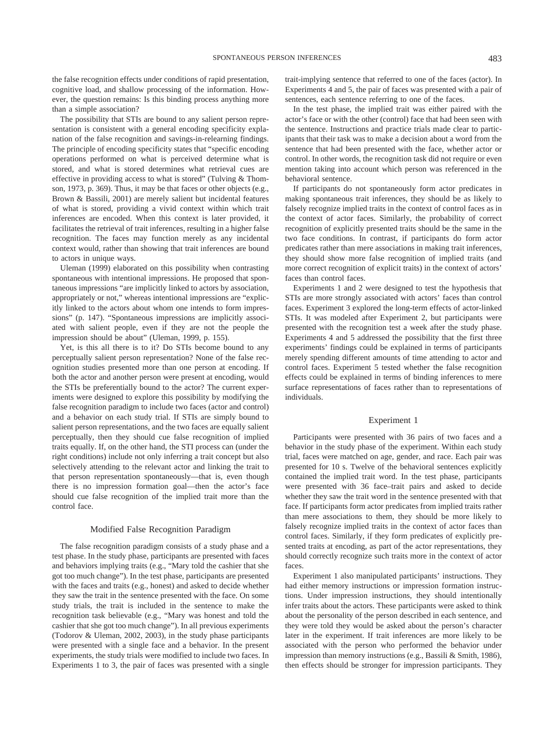the false recognition effects under conditions of rapid presentation, cognitive load, and shallow processing of the information. However, the question remains: Is this binding process anything more than a simple association?

The possibility that STIs are bound to any salient person representation is consistent with a general encoding specificity explanation of the false recognition and savings-in-relearning findings. The principle of encoding specificity states that "specific encoding operations performed on what is perceived determine what is stored, and what is stored determines what retrieval cues are effective in providing access to what is stored" (Tulving & Thomson, 1973, p. 369). Thus, it may be that faces or other objects (e.g., Brown & Bassili, 2001) are merely salient but incidental features of what is stored, providing a vivid context within which trait inferences are encoded. When this context is later provided, it facilitates the retrieval of trait inferences, resulting in a higher false recognition. The faces may function merely as any incidental context would, rather than showing that trait inferences are bound to actors in unique ways.

Uleman (1999) elaborated on this possibility when contrasting spontaneous with intentional impressions. He proposed that spontaneous impressions "are implicitly linked to actors by association, appropriately or not," whereas intentional impressions are "explicitly linked to the actors about whom one intends to form impressions" (p. 147). "Spontaneous impressions are implicitly associated with salient people, even if they are not the people the impression should be about" (Uleman, 1999, p. 155).

Yet, is this all there is to it? Do STIs become bound to any perceptually salient person representation? None of the false recognition studies presented more than one person at encoding. If both the actor and another person were present at encoding, would the STIs be preferentially bound to the actor? The current experiments were designed to explore this possibility by modifying the false recognition paradigm to include two faces (actor and control) and a behavior on each study trial. If STIs are simply bound to salient person representations, and the two faces are equally salient perceptually, then they should cue false recognition of implied traits equally. If, on the other hand, the STI process can (under the right conditions) include not only inferring a trait concept but also selectively attending to the relevant actor and linking the trait to that person representation spontaneously—that is, even though there is no impression formation goal—then the actor's face should cue false recognition of the implied trait more than the control face.

## Modified False Recognition Paradigm

The false recognition paradigm consists of a study phase and a test phase. In the study phase, participants are presented with faces and behaviors implying traits (e.g., "Mary told the cashier that she got too much change"). In the test phase, participants are presented with the faces and traits (e.g., honest) and asked to decide whether they saw the trait in the sentence presented with the face. On some study trials, the trait is included in the sentence to make the recognition task believable (e.g., "Mary was honest and told the cashier that she got too much change"). In all previous experiments (Todorov & Uleman, 2002, 2003), in the study phase participants were presented with a single face and a behavior. In the present experiments, the study trials were modified to include two faces. In Experiments 1 to 3, the pair of faces was presented with a single trait-implying sentence that referred to one of the faces (actor). In Experiments 4 and 5, the pair of faces was presented with a pair of sentences, each sentence referring to one of the faces.

In the test phase, the implied trait was either paired with the actor's face or with the other (control) face that had been seen with the sentence. Instructions and practice trials made clear to participants that their task was to make a decision about a word from the sentence that had been presented with the face, whether actor or control. In other words, the recognition task did not require or even mention taking into account which person was referenced in the behavioral sentence.

If participants do not spontaneously form actor predicates in making spontaneous trait inferences, they should be as likely to falsely recognize implied traits in the context of control faces as in the context of actor faces. Similarly, the probability of correct recognition of explicitly presented traits should be the same in the two face conditions. In contrast, if participants do form actor predicates rather than mere associations in making trait inferences, they should show more false recognition of implied traits (and more correct recognition of explicit traits) in the context of actors' faces than control faces.

Experiments 1 and 2 were designed to test the hypothesis that STIs are more strongly associated with actors' faces than control faces. Experiment 3 explored the long-term effects of actor-linked STIs. It was modeled after Experiment 2, but participants were presented with the recognition test a week after the study phase. Experiments 4 and 5 addressed the possibility that the first three experiments' findings could be explained in terms of participants merely spending different amounts of time attending to actor and control faces. Experiment 5 tested whether the false recognition effects could be explained in terms of binding inferences to mere surface representations of faces rather than to representations of individuals.

## Experiment 1

Participants were presented with 36 pairs of two faces and a behavior in the study phase of the experiment. Within each study trial, faces were matched on age, gender, and race. Each pair was presented for 10 s. Twelve of the behavioral sentences explicitly contained the implied trait word. In the test phase, participants were presented with 36 face–trait pairs and asked to decide whether they saw the trait word in the sentence presented with that face. If participants form actor predicates from implied traits rather than mere associations to them, they should be more likely to falsely recognize implied traits in the context of actor faces than control faces. Similarly, if they form predicates of explicitly presented traits at encoding, as part of the actor representations, they should correctly recognize such traits more in the context of actor faces.

Experiment 1 also manipulated participants' instructions. They had either memory instructions or impression formation instructions. Under impression instructions, they should intentionally infer traits about the actors. These participants were asked to think about the personality of the person described in each sentence, and they were told they would be asked about the person's character later in the experiment. If trait inferences are more likely to be associated with the person who performed the behavior under impression than memory instructions (e.g., Bassili & Smith, 1986), then effects should be stronger for impression participants. They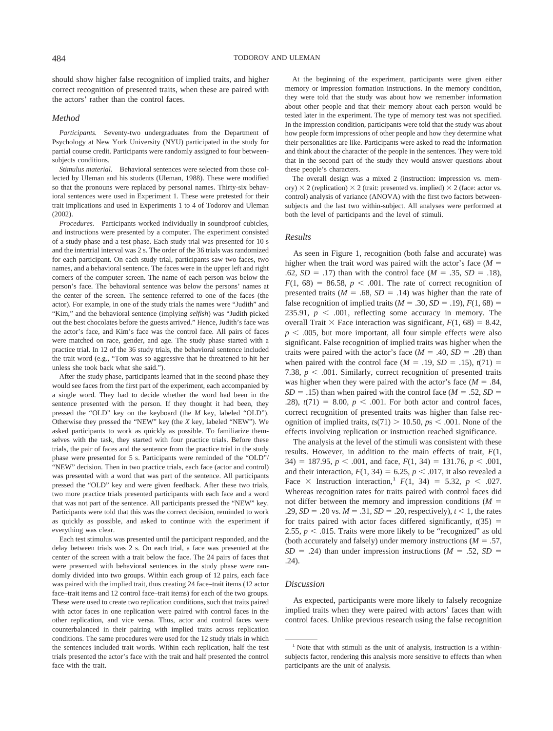should show higher false recognition of implied traits, and higher correct recognition of presented traits, when these are paired with the actors' rather than the control faces.

## *Method*

*Participants.* Seventy-two undergraduates from the Department of Psychology at New York University (NYU) participated in the study for partial course credit. Participants were randomly assigned to four betweensubjects conditions.

*Stimulus material.* Behavioral sentences were selected from those collected by Uleman and his students (Uleman, 1988). These were modified so that the pronouns were replaced by personal names. Thirty-six behavioral sentences were used in Experiment 1. These were pretested for their trait implications and used in Experiments 1 to 4 of Todorov and Uleman (2002).

*Procedures.* Participants worked individually in soundproof cubicles, and instructions were presented by a computer. The experiment consisted of a study phase and a test phase. Each study trial was presented for 10 s and the intertrial interval was 2 s. The order of the 36 trials was randomized for each participant. On each study trial, participants saw two faces, two names, and a behavioral sentence. The faces were in the upper left and right corners of the computer screen. The name of each person was below the person's face. The behavioral sentence was below the persons' names at the center of the screen. The sentence referred to one of the faces (the actor). For example, in one of the study trials the names were "Judith" and "Kim," and the behavioral sentence (implying *selfish*) was "Judith picked out the best chocolates before the guests arrived." Hence, Judith's face was the actor's face, and Kim's face was the control face. All pairs of faces were matched on race, gender, and age. The study phase started with a practice trial. In 12 of the 36 study trials, the behavioral sentence included the trait word (e.g., "Tom was so aggressive that he threatened to hit her unless she took back what she said.").

After the study phase, participants learned that in the second phase they would see faces from the first part of the experiment, each accompanied by a single word. They had to decide whether the word had been in the sentence presented with the person. If they thought it had been, they pressed the "OLD" key on the keyboard (the *M* key, labeled "OLD"). Otherwise they pressed the "NEW" key (the *X* key, labeled "NEW"). We asked participants to work as quickly as possible. To familiarize themselves with the task, they started with four practice trials. Before these trials, the pair of faces and the sentence from the practice trial in the study phase were presented for 5 s. Participants were reminded of the "OLD"/ "NEW" decision. Then in two practice trials, each face (actor and control) was presented with a word that was part of the sentence. All participants pressed the "OLD" key and were given feedback. After these two trials, two more practice trials presented participants with each face and a word that was not part of the sentence. All participants pressed the "NEW" key. Participants were told that this was the correct decision, reminded to work as quickly as possible, and asked to continue with the experiment if everything was clear.

Each test stimulus was presented until the participant responded, and the delay between trials was 2 s. On each trial, a face was presented at the center of the screen with a trait below the face. The 24 pairs of faces that were presented with behavioral sentences in the study phase were randomly divided into two groups. Within each group of 12 pairs, each face was paired with the implied trait, thus creating 24 face–trait items (12 actor face–trait items and 12 control face–trait items) for each of the two groups. These were used to create two replication conditions, such that traits paired with actor faces in one replication were paired with control faces in the other replication, and vice versa. Thus, actor and control faces were counterbalanced in their pairing with implied traits across replication conditions. The same procedures were used for the 12 study trials in which the sentences included trait words. Within each replication, half the test trials presented the actor's face with the trait and half presented the control face with the trait.

At the beginning of the experiment, participants were given either memory or impression formation instructions. In the memory condition, they were told that the study was about how we remember information about other people and that their memory about each person would be tested later in the experiment. The type of memory test was not specified. In the impression condition, participants were told that the study was about how people form impressions of other people and how they determine what their personalities are like. Participants were asked to read the information and think about the character of the people in the sentences. They were told that in the second part of the study they would answer questions about these people's characters.

The overall design was a mixed 2 (instruction: impression vs. memory)  $\times$  2 (replication)  $\times$  2 (trait: presented vs. implied)  $\times$  2 (face: actor vs. control) analysis of variance (ANOVA) with the first two factors betweensubjects and the last two within-subject. All analyses were performed at both the level of participants and the level of stimuli.

#### *Results*

As seen in Figure 1, recognition (both false and accurate) was higher when the trait word was paired with the actor's face  $(M =$ .62,  $SD = .17$ ) than with the control face ( $M = .35$ ,  $SD = .18$ ),  $F(1, 68) = 86.58$ ,  $p < .001$ . The rate of correct recognition of presented traits  $(M = .68, SD = .14)$  was higher than the rate of false recognition of implied traits  $(M = .30, SD = .19)$ ,  $F(1, 68) =$ 235.91,  $p < .001$ , reflecting some accuracy in memory. The overall Trait  $\times$  Face interaction was significant,  $F(1, 68) = 8.42$ ,  $p < .005$ , but more important, all four simple effects were also significant. False recognition of implied traits was higher when the traits were paired with the actor's face  $(M = .40, SD = .28)$  than when paired with the control face  $(M = .19, SD = .15)$ ,  $t(71) =$ 7.38,  $p < .001$ . Similarly, correct recognition of presented traits was higher when they were paired with the actor's face  $(M = .84, )$  $SD = .15$ ) than when paired with the control face ( $M = .52$ ,  $SD =$ .28),  $t(71) = 8.00, p < .001$ . For both actor and control faces, correct recognition of presented traits was higher than false recognition of implied traits,  $t s(71) > 10.50$ ,  $p s < .001$ . None of the effects involving replication or instruction reached significance.

The analysis at the level of the stimuli was consistent with these results. However, in addition to the main effects of trait, *F*(1,  $34$ ) = 187.95,  $p < .001$ , and face,  $F(1, 34) = 131.76$ ,  $p < .001$ , and their interaction,  $F(1, 34) = 6.25$ ,  $p < .017$ , it also revealed a Face  $\times$  Instruction interaction,<sup>1</sup>  $F(1, 34) = 5.32, p < .027$ . Whereas recognition rates for traits paired with control faces did not differ between the memory and impression conditions  $(M =$ .29,  $SD = .20$  vs.  $M = .31$ ,  $SD = .20$ , respectively),  $t < 1$ , the rates for traits paired with actor faces differed significantly,  $t(35)$  = 2.55,  $p < .015$ . Traits were more likely to be "recognized" as old (both accurately and falsely) under memory instructions ( $M = .57$ ,  $SD = .24$ ) than under impression instructions ( $M = .52$ ,  $SD =$ .24).

#### *Discussion*

As expected, participants were more likely to falsely recognize implied traits when they were paired with actors' faces than with control faces. Unlike previous research using the false recognition

<sup>&</sup>lt;sup>1</sup> Note that with stimuli as the unit of analysis, instruction is a withinsubjects factor, rendering this analysis more sensitive to effects than when participants are the unit of analysis.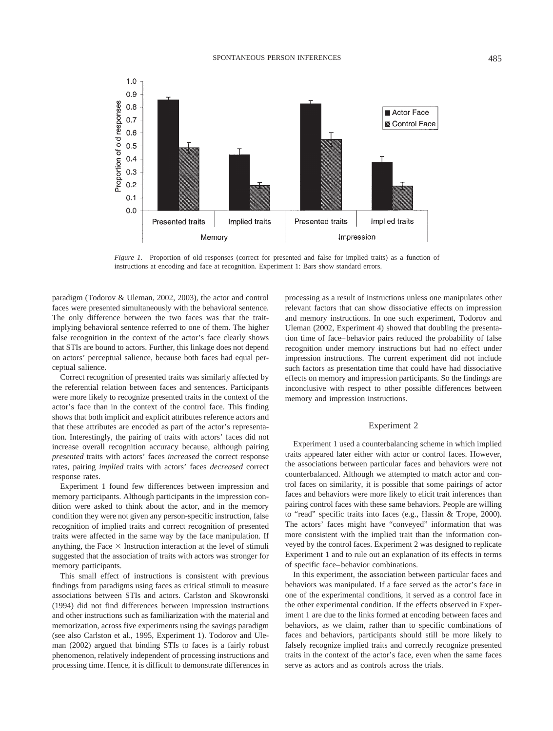

*Figure 1.* Proportion of old responses (correct for presented and false for implied traits) as a function of instructions at encoding and face at recognition. Experiment 1: Bars show standard errors.

paradigm (Todorov & Uleman, 2002, 2003), the actor and control faces were presented simultaneously with the behavioral sentence. The only difference between the two faces was that the traitimplying behavioral sentence referred to one of them. The higher false recognition in the context of the actor's face clearly shows that STIs are bound to actors. Further, this linkage does not depend on actors' perceptual salience, because both faces had equal perceptual salience.

Correct recognition of presented traits was similarly affected by the referential relation between faces and sentences. Participants were more likely to recognize presented traits in the context of the actor's face than in the context of the control face. This finding shows that both implicit and explicit attributes reference actors and that these attributes are encoded as part of the actor's representation. Interestingly, the pairing of traits with actors' faces did not increase overall recognition accuracy because, although pairing *presented* traits with actors' faces *increased* the correct response rates, pairing *implied* traits with actors' faces *decreased* correct response rates.

Experiment 1 found few differences between impression and memory participants. Although participants in the impression condition were asked to think about the actor, and in the memory condition they were not given any person-specific instruction, false recognition of implied traits and correct recognition of presented traits were affected in the same way by the face manipulation. If anything, the Face  $\times$  Instruction interaction at the level of stimuli suggested that the association of traits with actors was stronger for memory participants.

This small effect of instructions is consistent with previous findings from paradigms using faces as critical stimuli to measure associations between STIs and actors. Carlston and Skowronski (1994) did not find differences between impression instructions and other instructions such as familiarization with the material and memorization, across five experiments using the savings paradigm (see also Carlston et al., 1995, Experiment 1). Todorov and Uleman (2002) argued that binding STIs to faces is a fairly robust phenomenon, relatively independent of processing instructions and processing time. Hence, it is difficult to demonstrate differences in processing as a result of instructions unless one manipulates other relevant factors that can show dissociative effects on impression and memory instructions. In one such experiment, Todorov and Uleman (2002, Experiment 4) showed that doubling the presentation time of face–behavior pairs reduced the probability of false recognition under memory instructions but had no effect under impression instructions. The current experiment did not include such factors as presentation time that could have had dissociative effects on memory and impression participants. So the findings are inconclusive with respect to other possible differences between memory and impression instructions.

## Experiment 2

Experiment 1 used a counterbalancing scheme in which implied traits appeared later either with actor or control faces. However, the associations between particular faces and behaviors were not counterbalanced. Although we attempted to match actor and control faces on similarity, it is possible that some pairings of actor faces and behaviors were more likely to elicit trait inferences than pairing control faces with these same behaviors. People are willing to "read" specific traits into faces (e.g., Hassin & Trope, 2000). The actors' faces might have "conveyed" information that was more consistent with the implied trait than the information conveyed by the control faces. Experiment 2 was designed to replicate Experiment 1 and to rule out an explanation of its effects in terms of specific face–behavior combinations.

In this experiment, the association between particular faces and behaviors was manipulated. If a face served as the actor's face in one of the experimental conditions, it served as a control face in the other experimental condition. If the effects observed in Experiment 1 are due to the links formed at encoding between faces and behaviors, as we claim, rather than to specific combinations of faces and behaviors, participants should still be more likely to falsely recognize implied traits and correctly recognize presented traits in the context of the actor's face, even when the same faces serve as actors and as controls across the trials.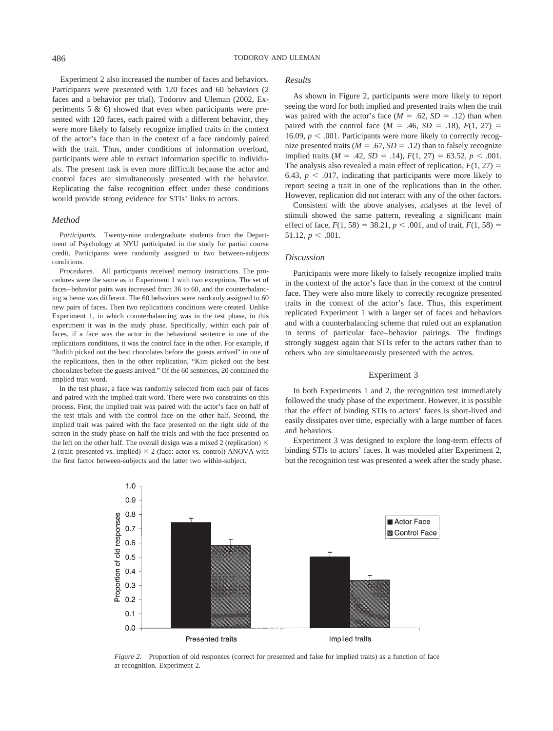Experiment 2 also increased the number of faces and behaviors. Participants were presented with 120 faces and 60 behaviors (2 faces and a behavior per trial). Todorov and Uleman (2002, Experiments 5 & 6) showed that even when participants were presented with 120 faces, each paired with a different behavior, they were more likely to falsely recognize implied traits in the context of the actor's face than in the context of a face randomly paired with the trait. Thus, under conditions of information overload, participants were able to extract information specific to individuals. The present task is even more difficult because the actor and control faces are simultaneously presented with the behavior. Replicating the false recognition effect under these conditions would provide strong evidence for STIs' links to actors.

#### *Method*

*Participants.* Twenty-nine undergraduate students from the Department of Psychology at NYU participated in the study for partial course credit. Participants were randomly assigned to two between-subjects conditions.

*Procedures.* All participants received memory instructions. The procedures were the same as in Experiment 1 with two exceptions. The set of faces–behavior pairs was increased from 36 to 60, and the counterbalancing scheme was different. The 60 behaviors were randomly assigned to 60 new pairs of faces. Then two replications conditions were created. Unlike Experiment 1, in which counterbalancing was in the test phase, in this experiment it was in the study phase. Specifically, within each pair of faces, if a face was the actor in the behavioral sentence in one of the replications conditions, it was the control face in the other. For example, if "Judith picked out the best chocolates before the guests arrived" in one of the replications, then in the other replication, "Kim picked out the best chocolates before the guests arrived." Of the 60 sentences, 20 contained the implied trait word.

In the test phase, a face was randomly selected from each pair of faces and paired with the implied trait word. There were two constraints on this process. First, the implied trait was paired with the actor's face on half of the test trials and with the control face on the other half. Second, the implied trait was paired with the face presented on the right side of the screen in the study phase on half the trials and with the face presented on the left on the other half. The overall design was a mixed 2 (replication)  $\times$ 2 (trait: presented vs. implied)  $\times$  2 (face: actor vs. control) ANOVA with the first factor between-subjects and the latter two within-subject.

#### *Results*

As shown in Figure 2, participants were more likely to report seeing the word for both implied and presented traits when the trait was paired with the actor's face  $(M = .62, SD = .12)$  than when paired with the control face  $(M = .46, SD = .18)$ ,  $F(1, 27) =$ 16.09,  $p < .001$ . Participants were more likely to correctly recognize presented traits ( $M = .67$ ,  $SD = .12$ ) than to falsely recognize implied traits  $(M = .42, SD = .14)$ ,  $F(1, 27) = 63.52, p < .001$ . The analysis also revealed a main effect of replication,  $F(1, 27) =$ 6.43,  $p < .017$ , indicating that participants were more likely to report seeing a trait in one of the replications than in the other. However, replication did not interact with any of the other factors.

Consistent with the above analyses, analyses at the level of stimuli showed the same pattern, revealing a significant main effect of face,  $F(1, 58) = 38.21$ ,  $p < .001$ , and of trait,  $F(1, 58) =$ 51.12,  $p < .001$ .

#### *Discussion*

Participants were more likely to falsely recognize implied traits in the context of the actor's face than in the context of the control face. They were also more likely to correctly recognize presented traits in the context of the actor's face. Thus, this experiment replicated Experiment 1 with a larger set of faces and behaviors and with a counterbalancing scheme that ruled out an explanation in terms of particular face–behavior pairings. The findings strongly suggest again that STIs refer to the actors rather than to others who are simultaneously presented with the actors.

#### Experiment 3

In both Experiments 1 and 2, the recognition test immediately followed the study phase of the experiment. However, it is possible that the effect of binding STIs to actors' faces is short-lived and easily dissipates over time, especially with a large number of faces and behaviors.

Experiment 3 was designed to explore the long-term effects of binding STIs to actors' faces. It was modeled after Experiment 2, but the recognition test was presented a week after the study phase.



*Figure 2.* Proportion of old responses (correct for presented and false for implied traits) as a function of face at recognition. Experiment 2.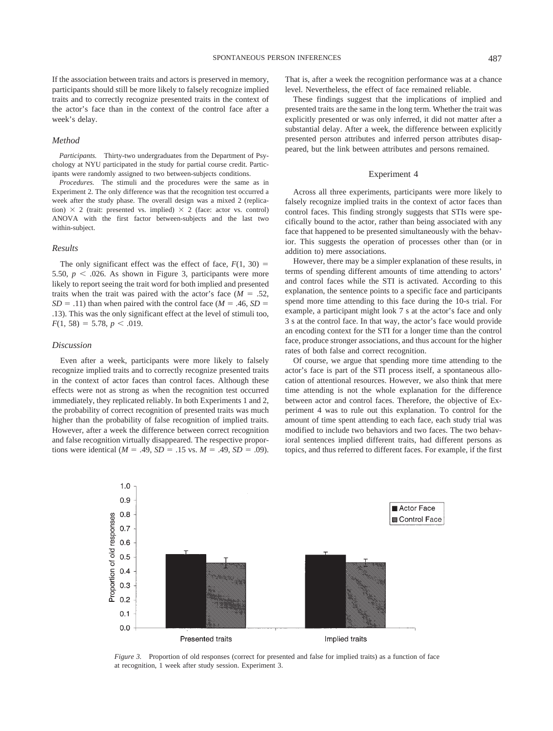If the association between traits and actors is preserved in memory, participants should still be more likely to falsely recognize implied traits and to correctly recognize presented traits in the context of the actor's face than in the context of the control face after a week's delay.

## *Method*

*Participants.* Thirty-two undergraduates from the Department of Psychology at NYU participated in the study for partial course credit. Participants were randomly assigned to two between-subjects conditions.

*Procedures.* The stimuli and the procedures were the same as in Experiment 2. The only difference was that the recognition test occurred a week after the study phase. The overall design was a mixed 2 (replication)  $\times$  2 (trait: presented vs. implied)  $\times$  2 (face: actor vs. control) ANOVA with the first factor between-subjects and the last two within-subject.

#### *Results*

The only significant effect was the effect of face,  $F(1, 30) =$ 5.50,  $p < .026$ . As shown in Figure 3, participants were more likely to report seeing the trait word for both implied and presented traits when the trait was paired with the actor's face  $(M = .52)$ ,  $SD = .11$ ) than when paired with the control face ( $M = .46$ ,  $SD =$ .13). This was the only significant effect at the level of stimuli too,  $F(1, 58) = 5.78, p < .019.$ 

## *Discussion*

Even after a week, participants were more likely to falsely recognize implied traits and to correctly recognize presented traits in the context of actor faces than control faces. Although these effects were not as strong as when the recognition test occurred immediately, they replicated reliably. In both Experiments 1 and 2, the probability of correct recognition of presented traits was much higher than the probability of false recognition of implied traits. However, after a week the difference between correct recognition and false recognition virtually disappeared. The respective proportions were identical  $(M = .49, SD = .15$  vs.  $M = .49, SD = .09$ ).

That is, after a week the recognition performance was at a chance level. Nevertheless, the effect of face remained reliable.

These findings suggest that the implications of implied and presented traits are the same in the long term. Whether the trait was explicitly presented or was only inferred, it did not matter after a substantial delay. After a week, the difference between explicitly presented person attributes and inferred person attributes disappeared, but the link between attributes and persons remained.

#### Experiment 4

Across all three experiments, participants were more likely to falsely recognize implied traits in the context of actor faces than control faces. This finding strongly suggests that STIs were specifically bound to the actor, rather than being associated with any face that happened to be presented simultaneously with the behavior. This suggests the operation of processes other than (or in addition to) mere associations.

However, there may be a simpler explanation of these results, in terms of spending different amounts of time attending to actors' and control faces while the STI is activated. According to this explanation, the sentence points to a specific face and participants spend more time attending to this face during the 10-s trial. For example, a participant might look 7 s at the actor's face and only 3 s at the control face. In that way, the actor's face would provide an encoding context for the STI for a longer time than the control face, produce stronger associations, and thus account for the higher rates of both false and correct recognition.

Of course, we argue that spending more time attending to the actor's face is part of the STI process itself, a spontaneous allocation of attentional resources. However, we also think that mere time attending is not the whole explanation for the difference between actor and control faces. Therefore, the objective of Experiment 4 was to rule out this explanation. To control for the amount of time spent attending to each face, each study trial was modified to include two behaviors and two faces. The two behavioral sentences implied different traits, had different persons as topics, and thus referred to different faces. For example, if the first



*Figure 3.* Proportion of old responses (correct for presented and false for implied traits) as a function of face at recognition, 1 week after study session. Experiment 3.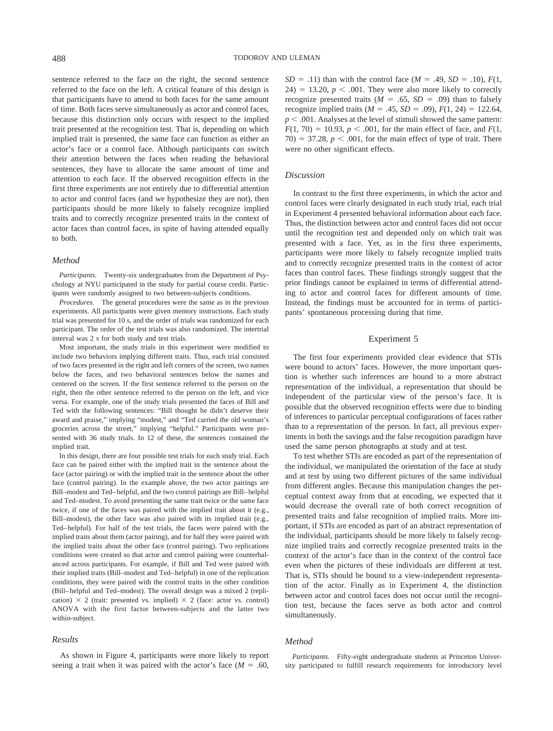sentence referred to the face on the right, the second sentence referred to the face on the left. A critical feature of this design is that participants have to attend to both faces for the same amount of time. Both faces serve simultaneously as actor and control faces, because this distinction only occurs with respect to the implied trait presented at the recognition test. That is, depending on which implied trait is presented, the same face can function as either an actor's face or a control face. Although participants can switch their attention between the faces when reading the behavioral sentences, they have to allocate the same amount of time and attention to each face. If the observed recognition effects in the first three experiments are not entirely due to differential attention to actor and control faces (and we hypothesize they are not), then participants should be more likely to falsely recognize implied traits and to correctly recognize presented traits in the context of actor faces than control faces, in spite of having attended equally to both.

## *Method*

*Participants.* Twenty-six undergraduates from the Department of Psychology at NYU participated in the study for partial course credit. Participants were randomly assigned to two between-subjects conditions.

*Procedures.* The general procedures were the same as in the previous experiments. All participants were given memory instructions. Each study trial was presented for 10 s, and the order of trials was randomized for each participant. The order of the test trials was also randomized. The intertrial interval was 2 s for both study and test trials.

Most important, the study trials in this experiment were modified to include two behaviors implying different traits. Thus, each trial consisted of two faces presented in the right and left corners of the screen, two names below the faces, and two behavioral sentences below the names and centered on the screen. If the first sentence referred to the person on the right, then the other sentence referred to the person on the left, and vice versa. For example, one of the study trials presented the faces of Bill and Ted with the following sentences: "Bill thought he didn't deserve their award and praise," implying "modest," and "Ted carried the old woman's groceries across the street," implying "helpful." Participants were presented with 36 study trials. In 12 of these, the sentences contained the implied trait.

In this design, there are four possible test trials for each study trial. Each face can be paired either with the implied trait in the sentence about the face (actor pairing) or with the implied trait in the sentence about the other face (control pairing). In the example above, the two actor pairings are Bill–modest and Ted–helpful, and the two control pairings are Bill–helpful and Ted–modest. To avoid presenting the same trait twice or the same face twice, if one of the faces was paired with the implied trait about it (e.g., Bill–modest), the other face was also paired with its implied trait (e.g., Ted–helpful). For half of the test trials, the faces were paired with the implied traits about them (actor pairing), and for half they were paired with the implied traits about the other face (control pairing). Two replications conditions were created so that actor and control pairing were counterbalanced across participants. For example, if Bill and Ted were paired with their implied traits (Bill–modest and Ted–helpful) in one of the replication conditions, they were paired with the control traits in the other condition (Bill–helpful and Ted–modest). The overall design was a mixed 2 (replication)  $\times$  2 (trait: presented vs. implied)  $\times$  2 (face: actor vs. control) ANOVA with the first factor between-subjects and the latter two within-subject.

## *Results*

As shown in Figure 4, participants were more likely to report seeing a trait when it was paired with the actor's face  $(M = .60, )$ 

 $SD = .11$ ) than with the control face (*M* = .49, *SD* = .10), *F*(1,  $24) = 13.20, p < .001$ . They were also more likely to correctly recognize presented traits  $(M = .65, SD = .09)$  than to falsely recognize implied traits ( $M = .45$ ,  $SD = .09$ ),  $F(1, 24) = 122.64$ ,  $p < .001$ . Analyses at the level of stimuli showed the same pattern:  $F(1, 70) = 10.93, p < .001$ , for the main effect of face, and  $F(1, 70)$  $70) = 37.28$ ,  $p < .001$ , for the main effect of type of trait. There were no other significant effects.

## *Discussion*

In contrast to the first three experiments, in which the actor and control faces were clearly designated in each study trial, each trial in Experiment 4 presented behavioral information about each face. Thus, the distinction between actor and control faces did not occur until the recognition test and depended only on which trait was presented with a face. Yet, as in the first three experiments, participants were more likely to falsely recognize implied traits and to correctly recognize presented traits in the context of actor faces than control faces. These findings strongly suggest that the prior findings cannot be explained in terms of differential attending to actor and control faces for different amounts of time. Instead, the findings must be accounted for in terms of participants' spontaneous processing during that time.

#### Experiment 5

The first four experiments provided clear evidence that STIs were bound to actors' faces. However, the more important question is whether such inferences are bound to a more abstract representation of the individual, a representation that should be independent of the particular view of the person's face. It is possible that the observed recognition effects were due to binding of inferences to particular perceptual configurations of faces rather than to a representation of the person. In fact, all previous experiments in both the savings and the false recognition paradigm have used the same person photographs at study and at test.

To test whether STIs are encoded as part of the representation of the individual, we manipulated the orientation of the face at study and at test by using two different pictures of the same individual from different angles. Because this manipulation changes the perceptual context away from that at encoding, we expected that it would decrease the overall rate of both correct recognition of presented traits and false recognition of implied traits. More important, if STIs are encoded as part of an abstract representation of the individual, participants should be more likely to falsely recognize implied traits and correctly recognize presented traits in the context of the actor's face than in the context of the control face even when the pictures of these individuals are different at test. That is, STIs should be bound to a view-independent representation of the actor. Finally as in Experiment 4, the distinction between actor and control faces does not occur until the recognition test, because the faces serve as both actor and control simultaneously.

#### *Method*

*Participants.* Fifty-eight undergraduate students at Princeton University participated to fulfill research requirements for introductory level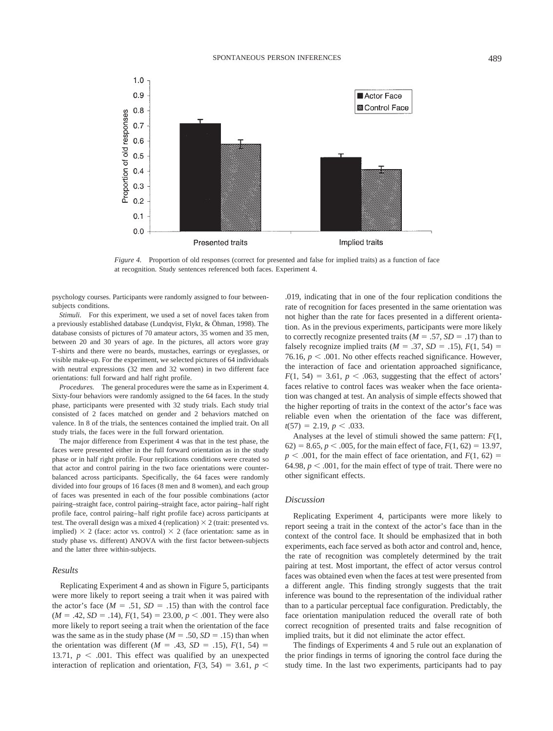

*Figure 4.* Proportion of old responses (correct for presented and false for implied traits) as a function of face at recognition. Study sentences referenced both faces. Experiment 4.

psychology courses. Participants were randomly assigned to four betweensubjects conditions.

*Stimuli.* For this experiment, we used a set of novel faces taken from a previously established database (Lundqvist, Flykt, & Öhman, 1998). The database consists of pictures of 70 amateur actors, 35 women and 35 men, between 20 and 30 years of age. In the pictures, all actors wore gray T-shirts and there were no beards, mustaches, earrings or eyeglasses, or visible make-up. For the experiment, we selected pictures of 64 individuals with neutral expressions (32 men and 32 women) in two different face orientations: full forward and half right profile.

*Procedures.* The general procedures were the same as in Experiment 4. Sixty-four behaviors were randomly assigned to the 64 faces. In the study phase, participants were presented with 32 study trials. Each study trial consisted of 2 faces matched on gender and 2 behaviors matched on valence. In 8 of the trials, the sentences contained the implied trait. On all study trials, the faces were in the full forward orientation.

The major difference from Experiment 4 was that in the test phase, the faces were presented either in the full forward orientation as in the study phase or in half right profile. Four replications conditions were created so that actor and control pairing in the two face orientations were counterbalanced across participants. Specifically, the 64 faces were randomly divided into four groups of 16 faces (8 men and 8 women), and each group of faces was presented in each of the four possible combinations (actor pairing–straight face, control pairing–straight face, actor pairing–half right profile face, control pairing–half right profile face) across participants at test. The overall design was a mixed 4 (replication)  $\times$  2 (trait: presented vs. implied)  $\times$  2 (face: actor vs. control)  $\times$  2 (face orientation: same as in study phase vs. different) ANOVA with the first factor between-subjects and the latter three within-subjects.

#### *Results*

Replicating Experiment 4 and as shown in Figure 5, participants were more likely to report seeing a trait when it was paired with the actor's face  $(M = .51, SD = .15)$  than with the control face  $(M = .42, SD = .14)$ ,  $F(1, 54) = 23.00, p < .001$ . They were also more likely to report seeing a trait when the orientation of the face was the same as in the study phase  $(M = .50, SD = .15)$  than when the orientation was different  $(M = .43, SD = .15)$ ,  $F(1, 54) =$ 13.71,  $p < .001$ . This effect was qualified by an unexpected interaction of replication and orientation,  $F(3, 54) = 3.61$ ,  $p <$ 

.019, indicating that in one of the four replication conditions the rate of recognition for faces presented in the same orientation was not higher than the rate for faces presented in a different orientation. As in the previous experiments, participants were more likely to correctly recognize presented traits  $(M = .57, SD = .17)$  than to falsely recognize implied traits  $(M = .37, SD = .15)$ ,  $F(1, 54) =$ 76.16,  $p < .001$ . No other effects reached significance. However, the interaction of face and orientation approached significance,  $F(1, 54) = 3.61$ ,  $p < .063$ , suggesting that the effect of actors' faces relative to control faces was weaker when the face orientation was changed at test. An analysis of simple effects showed that the higher reporting of traits in the context of the actor's face was reliable even when the orientation of the face was different,  $t(57) = 2.19, p < .033.$ 

Analyses at the level of stimuli showed the same pattern: *F*(1,  $62$ ) = 8.65,  $p < .005$ , for the main effect of face,  $F(1, 62) = 13.97$ ,  $p < .001$ , for the main effect of face orientation, and  $F(1, 62) =$ 64.98,  $p < .001$ , for the main effect of type of trait. There were no other significant effects.

## *Discussion*

Replicating Experiment 4, participants were more likely to report seeing a trait in the context of the actor's face than in the context of the control face. It should be emphasized that in both experiments, each face served as both actor and control and, hence, the rate of recognition was completely determined by the trait pairing at test. Most important, the effect of actor versus control faces was obtained even when the faces at test were presented from a different angle. This finding strongly suggests that the trait inference was bound to the representation of the individual rather than to a particular perceptual face configuration. Predictably, the face orientation manipulation reduced the overall rate of both correct recognition of presented traits and false recognition of implied traits, but it did not eliminate the actor effect.

The findings of Experiments 4 and 5 rule out an explanation of the prior findings in terms of ignoring the control face during the study time. In the last two experiments, participants had to pay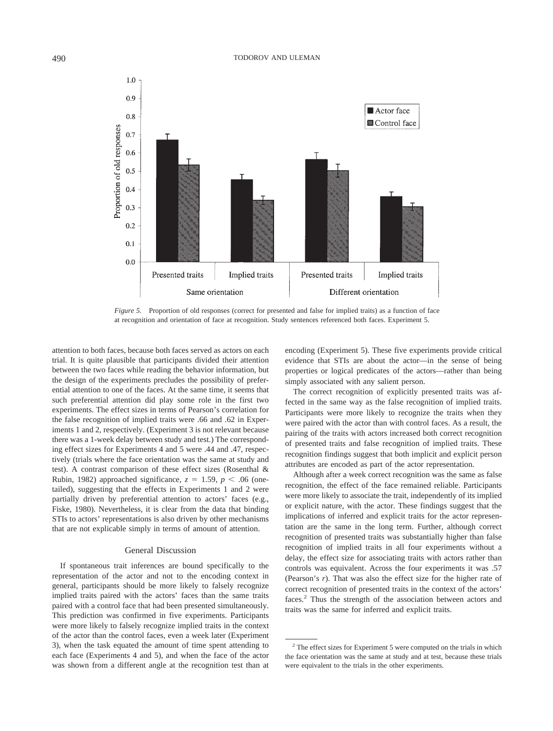

*Figure 5.* Proportion of old responses (correct for presented and false for implied traits) as a function of face at recognition and orientation of face at recognition. Study sentences referenced both faces. Experiment 5.

attention to both faces, because both faces served as actors on each trial. It is quite plausible that participants divided their attention between the two faces while reading the behavior information, but the design of the experiments precludes the possibility of preferential attention to one of the faces. At the same time, it seems that such preferential attention did play some role in the first two experiments. The effect sizes in terms of Pearson's correlation for the false recognition of implied traits were .66 and .62 in Experiments 1 and 2, respectively. (Experiment 3 is not relevant because there was a 1-week delay between study and test.) The corresponding effect sizes for Experiments 4 and 5 were .44 and .47, respectively (trials where the face orientation was the same at study and test). A contrast comparison of these effect sizes (Rosenthal & Rubin, 1982) approached significance,  $z = 1.59$ ,  $p < .06$  (onetailed), suggesting that the effects in Experiments 1 and 2 were partially driven by preferential attention to actors' faces (e.g., Fiske, 1980). Nevertheless, it is clear from the data that binding STIs to actors' representations is also driven by other mechanisms that are not explicable simply in terms of amount of attention.

## General Discussion

If spontaneous trait inferences are bound specifically to the representation of the actor and not to the encoding context in general, participants should be more likely to falsely recognize implied traits paired with the actors' faces than the same traits paired with a control face that had been presented simultaneously. This prediction was confirmed in five experiments. Participants were more likely to falsely recognize implied traits in the context of the actor than the control faces, even a week later (Experiment 3), when the task equated the amount of time spent attending to each face (Experiments 4 and 5), and when the face of the actor was shown from a different angle at the recognition test than at encoding (Experiment 5). These five experiments provide critical evidence that STIs are about the actor—in the sense of being properties or logical predicates of the actors—rather than being simply associated with any salient person.

The correct recognition of explicitly presented traits was affected in the same way as the false recognition of implied traits. Participants were more likely to recognize the traits when they were paired with the actor than with control faces. As a result, the pairing of the traits with actors increased both correct recognition of presented traits and false recognition of implied traits. These recognition findings suggest that both implicit and explicit person attributes are encoded as part of the actor representation.

Although after a week correct recognition was the same as false recognition, the effect of the face remained reliable. Participants were more likely to associate the trait, independently of its implied or explicit nature, with the actor. These findings suggest that the implications of inferred and explicit traits for the actor representation are the same in the long term. Further, although correct recognition of presented traits was substantially higher than false recognition of implied traits in all four experiments without a delay, the effect size for associating traits with actors rather than controls was equivalent. Across the four experiments it was .57 (Pearson's *r*). That was also the effect size for the higher rate of correct recognition of presented traits in the context of the actors' faces.2 Thus the strength of the association between actors and traits was the same for inferred and explicit traits.

<sup>&</sup>lt;sup>2</sup> The effect sizes for Experiment 5 were computed on the trials in which the face orientation was the same at study and at test, because these trials were equivalent to the trials in the other experiments.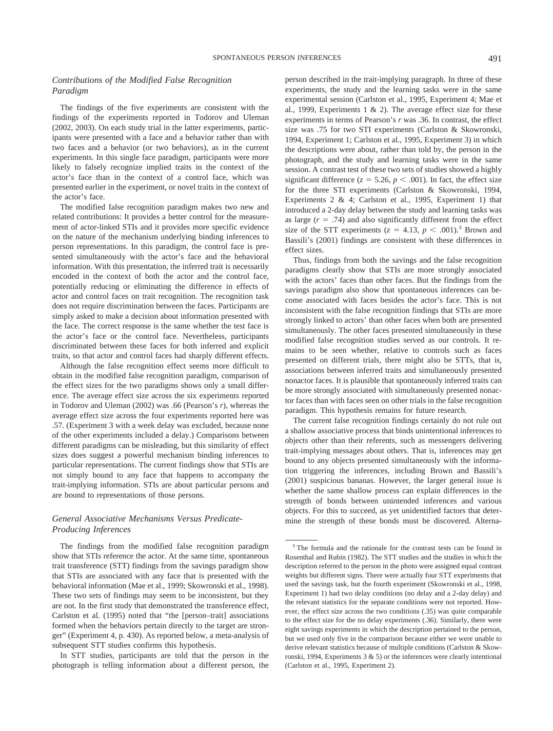## *Contributions of the Modified False Recognition Paradigm*

The findings of the five experiments are consistent with the findings of the experiments reported in Todorov and Uleman (2002, 2003). On each study trial in the latter experiments, participants were presented with a face and a behavior rather than with two faces and a behavior (or two behaviors), as in the current experiments. In this single face paradigm, participants were more likely to falsely recognize implied traits in the context of the actor's face than in the context of a control face, which was presented earlier in the experiment, or novel traits in the context of the actor's face.

The modified false recognition paradigm makes two new and related contributions: It provides a better control for the measurement of actor-linked STIs and it provides more specific evidence on the nature of the mechanism underlying binding inferences to person representations. In this paradigm, the control face is presented simultaneously with the actor's face and the behavioral information. With this presentation, the inferred trait is necessarily encoded in the context of both the actor and the control face, potentially reducing or eliminating the difference in effects of actor and control faces on trait recognition. The recognition task does not require discrimination between the faces. Participants are simply asked to make a decision about information presented with the face. The correct response is the same whether the test face is the actor's face or the control face. Nevertheless, participants discriminated between these faces for both inferred and explicit traits, so that actor and control faces had sharply different effects.

Although the false recognition effect seems more difficult to obtain in the modified false recognition paradigm, comparison of the effect sizes for the two paradigms shows only a small difference. The average effect size across the six experiments reported in Todorov and Uleman (2002) was .66 (Pearson's *r*), whereas the average effect size across the four experiments reported here was .57. (Experiment 3 with a week delay was excluded, because none of the other experiments included a delay.) Comparisons between different paradigms can be misleading, but this similarity of effect sizes does suggest a powerful mechanism binding inferences to particular representations. The current findings show that STIs are not simply bound to any face that happens to accompany the trait-implying information. STIs are about particular persons and are bound to representations of those persons.

# *General Associative Mechanisms Versus Predicate-Producing Inferences*

The findings from the modified false recognition paradigm show that STIs reference the actor. At the same time, spontaneous trait transference (STT) findings from the savings paradigm show that STIs are associated with any face that is presented with the behavioral information (Mae et al., 1999; Skowronski et al., 1998). These two sets of findings may seem to be inconsistent, but they are not. In the first study that demonstrated the transference effect, Carlston et al. (1995) noted that "the [person–trait] associations formed when the behaviors pertain directly to the target are stronger" (Experiment 4, p. 430). As reported below, a meta-analysis of subsequent STT studies confirms this hypothesis.

In STT studies, participants are told that the person in the photograph is telling information about a different person, the person described in the trait-implying paragraph. In three of these experiments, the study and the learning tasks were in the same experimental session (Carlston et al., 1995, Experiment 4; Mae et al., 1999, Experiments 1  $\&$  2). The average effect size for these experiments in terms of Pearson's *r* was .36. In contrast, the effect size was .75 for two STI experiments (Carlston & Skowronski, 1994, Experiment 1; Carlston et al., 1995, Experiment 3) in which the descriptions were about, rather than told by, the person in the photograph, and the study and learning tasks were in the same session. A contrast test of these two sets of studies showed a highly significant difference ( $z = 5.26$ ,  $p < .001$ ). In fact, the effect size for the three STI experiments (Carlston & Skowronski, 1994, Experiments 2 & 4; Carlston et al., 1995, Experiment 1) that introduced a 2-day delay between the study and learning tasks was as large  $(r = .74)$  and also significantly different from the effect size of the STT experiments  $(z = 4.13, p < .001)$ .<sup>3</sup> Brown and Bassili's (2001) findings are consistent with these differences in effect sizes.

Thus, findings from both the savings and the false recognition paradigms clearly show that STIs are more strongly associated with the actors' faces than other faces. But the findings from the savings paradigm also show that spontaneous inferences can become associated with faces besides the actor's face. This is not inconsistent with the false recognition findings that STIs are more strongly linked to actors' than other faces when both are presented simultaneously. The other faces presented simultaneously in these modified false recognition studies served as our controls. It remains to be seen whether, relative to controls such as faces presented on different trials, there might also be STTs, that is, associations between inferred traits and simultaneously presented nonactor faces. It is plausible that spontaneously inferred traits can be more strongly associated with simultaneously presented nonactor faces than with faces seen on other trials in the false recognition paradigm. This hypothesis remains for future research.

The current false recognition findings certainly do not rule out a shallow associative process that binds unintentional inferences to objects other than their referents, such as messengers delivering trait-implying messages about others. That is, inferences may get bound to any objects presented simultaneously with the information triggering the inferences, including Brown and Bassili's (2001) suspicious bananas. However, the larger general issue is whether the same shallow process can explain differences in the strength of bonds between unintended inferences and various objects. For this to succeed, as yet unidentified factors that determine the strength of these bonds must be discovered. Alterna-

<sup>&</sup>lt;sup>3</sup> The formula and the rationale for the contrast tests can be found in Rosenthal and Rubin (1982). The STT studies and the studies in which the description referred to the person in the photo were assigned equal contrast weights but different signs. There were actually four STT experiments that used the savings task, but the fourth experiment (Skowronski et al., 1998, Experiment 1) had two delay conditions (no delay and a 2-day delay) and the relevant statistics for the separate conditions were not reported. However, the effect size across the two conditions (.35) was quite comparable to the effect size for the no delay experiments (.36). Similarly, there were eight savings experiments in which the description pertained to the person, but we used only five in the comparison because either we were unable to derive relevant statistics because of multiple conditions (Carlston & Skowronski, 1994, Experiments  $3 \& 5$ ) or the inferences were clearly intentional (Carlston et al., 1995, Experiment 2).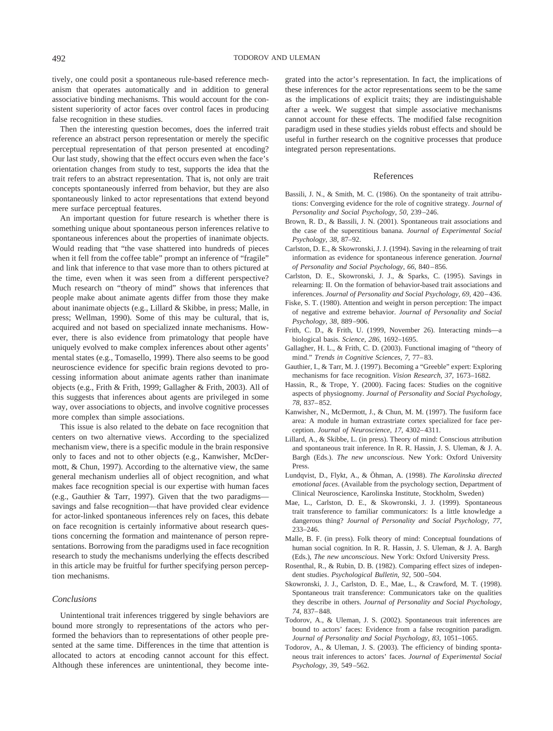tively, one could posit a spontaneous rule-based reference mechanism that operates automatically and in addition to general associative binding mechanisms. This would account for the consistent superiority of actor faces over control faces in producing false recognition in these studies.

Then the interesting question becomes, does the inferred trait reference an abstract person representation or merely the specific perceptual representation of that person presented at encoding? Our last study, showing that the effect occurs even when the face's orientation changes from study to test, supports the idea that the trait refers to an abstract representation. That is, not only are trait concepts spontaneously inferred from behavior, but they are also spontaneously linked to actor representations that extend beyond mere surface perceptual features.

An important question for future research is whether there is something unique about spontaneous person inferences relative to spontaneous inferences about the properties of inanimate objects. Would reading that "the vase shattered into hundreds of pieces when it fell from the coffee table" prompt an inference of "fragile" and link that inference to that vase more than to others pictured at the time, even when it was seen from a different perspective? Much research on "theory of mind" shows that inferences that people make about animate agents differ from those they make about inanimate objects (e.g., Lillard & Skibbe, in press; Malle, in press; Wellman, 1990). Some of this may be cultural, that is, acquired and not based on specialized innate mechanisms. However, there is also evidence from primatology that people have uniquely evolved to make complex inferences about other agents' mental states (e.g., Tomasello, 1999). There also seems to be good neuroscience evidence for specific brain regions devoted to processing information about animate agents rather than inanimate objects (e.g., Frith & Frith, 1999; Gallagher & Frith, 2003). All of this suggests that inferences about agents are privileged in some way, over associations to objects, and involve cognitive processes more complex than simple associations.

This issue is also related to the debate on face recognition that centers on two alternative views. According to the specialized mechanism view, there is a specific module in the brain responsive only to faces and not to other objects (e.g., Kanwisher, McDermott, & Chun, 1997). According to the alternative view, the same general mechanism underlies all of object recognition, and what makes face recognition special is our expertise with human faces (e.g., Gauthier & Tarr, 1997). Given that the two paradigms savings and false recognition—that have provided clear evidence for actor-linked spontaneous inferences rely on faces, this debate on face recognition is certainly informative about research questions concerning the formation and maintenance of person representations. Borrowing from the paradigms used in face recognition research to study the mechanisms underlying the effects described in this article may be fruitful for further specifying person perception mechanisms.

## *Conclusions*

Unintentional trait inferences triggered by single behaviors are bound more strongly to representations of the actors who performed the behaviors than to representations of other people presented at the same time. Differences in the time that attention is allocated to actors at encoding cannot account for this effect. Although these inferences are unintentional, they become integrated into the actor's representation. In fact, the implications of these inferences for the actor representations seem to be the same as the implications of explicit traits; they are indistinguishable after a week. We suggest that simple associative mechanisms cannot account for these effects. The modified false recognition paradigm used in these studies yields robust effects and should be useful in further research on the cognitive processes that produce integrated person representations.

#### References

- Bassili, J. N., & Smith, M. C. (1986). On the spontaneity of trait attributions: Converging evidence for the role of cognitive strategy. *Journal of Personality and Social Psychology, 50,* 239–246.
- Brown, R. D., & Bassili, J. N. (2001). Spontaneous trait associations and the case of the superstitious banana. *Journal of Experimental Social Psychology, 38,* 87–92.
- Carlston, D. E., & Skowronski, J. J. (1994). Saving in the relearning of trait information as evidence for spontaneous inference generation. *Journal of Personality and Social Psychology, 66,* 840–856.
- Carlston, D. E., Skowronski, J. J., & Sparks, C. (1995). Savings in relearning: II. On the formation of behavior-based trait associations and inferences. *Journal of Personality and Social Psychology, 69,* 420–436.
- Fiske, S. T. (1980). Attention and weight in person perception: The impact of negative and extreme behavior. *Journal of Personality and Social Psychology, 38,* 889–906.
- Frith, C. D., & Frith, U. (1999, November 26). Interacting minds—a biological basis. *Science, 286,* 1692–1695.
- Gallagher, H. L., & Frith, C. D. (2003). Functional imaging of "theory of mind." *Trends in Cognitive Sciences, 7,* 77–83.
- Gauthier, I., & Tarr, M. J. (1997). Becoming a "Greeble" expert: Exploring mechanisms for face recognition. *Vision Research, 37,* 1673–1682.
- Hassin, R., & Trope, Y. (2000). Facing faces: Studies on the cognitive aspects of physiognomy. *Journal of Personality and Social Psychology, 78,* 837–852.
- Kanwisher, N., McDermott, J., & Chun, M. M. (1997). The fusiform face area: A module in human extrastriate cortex specialized for face perception. *Journal of Neuroscience, 17,* 4302–4311.
- Lillard, A., & Skibbe, L. (in press). Theory of mind: Conscious attribution and spontaneous trait inference. In R. R. Hassin, J. S. Uleman, & J. A. Bargh (Eds.). *The new unconscious*. New York: Oxford University Press.
- Lundqvist, D., Flykt, A., & Öhman, A. (1998). *The Karolinska directed emotional faces*. (Available from the psychology section, Department of Clinical Neuroscience, Karolinska Institute, Stockholm, Sweden)
- Mae, L., Carlston, D. E., & Skowronski, J. J. (1999). Spontaneous trait transference to familiar communicators: Is a little knowledge a dangerous thing? *Journal of Personality and Social Psychology, 77,* 233–246.
- Malle, B. F. (in press). Folk theory of mind: Conceptual foundations of human social cognition. In R. R. Hassin, J. S. Uleman, & J. A. Bargh (Eds.), *The new unconscious*. New York: Oxford University Press.
- Rosenthal, R., & Rubin, D. B. (1982). Comparing effect sizes of independent studies. *Psychological Bulletin, 92,* 500–504.
- Skowronski, J. J., Carlston, D. E., Mae, L., & Crawford, M. T. (1998). Spontaneous trait transference: Communicators take on the qualities they describe in others. *Journal of Personality and Social Psychology, 74,* 837–848.
- Todorov, A., & Uleman, J. S. (2002). Spontaneous trait inferences are bound to actors' faces: Evidence from a false recognition paradigm. *Journal of Personality and Social Psychology, 83,* 1051–1065.
- Todorov, A., & Uleman, J. S. (2003). The efficiency of binding spontaneous trait inferences to actors' faces. *Journal of Experimental Social Psychology, 39,* 549–562.